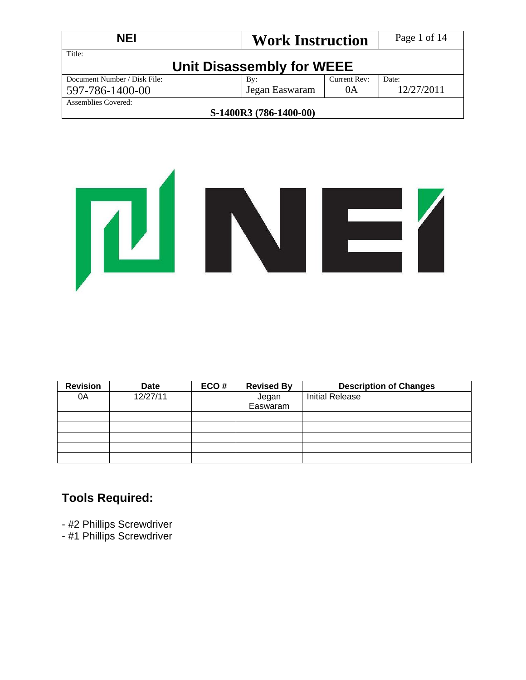| <b>NEI</b>                   | Page 1 of 14              |              |            |
|------------------------------|---------------------------|--------------|------------|
| Title:                       | Unit Disassembly for WEEE |              |            |
| Document Number / Disk File: | By:                       | Current Rev: | Date:      |
| 597-786-1400-00              | Jegan Easwaram            | 0A           | 12/27/2011 |
| Assemblies Covered:          |                           |              |            |
|                              | S-1400R3 (786-1400-00)    |              |            |



| <b>Revision</b> | <b>Date</b> | ECO# | <b>Revised By</b> | <b>Description of Changes</b> |
|-----------------|-------------|------|-------------------|-------------------------------|
| 0A              | 12/27/11    |      | Jegan             | <b>Initial Release</b>        |
|                 |             |      | Easwaram          |                               |
|                 |             |      |                   |                               |
|                 |             |      |                   |                               |
|                 |             |      |                   |                               |
|                 |             |      |                   |                               |
|                 |             |      |                   |                               |

## **Tools Required:**

- #2 Phillips Screwdriver
- #1 Phillips Screwdriver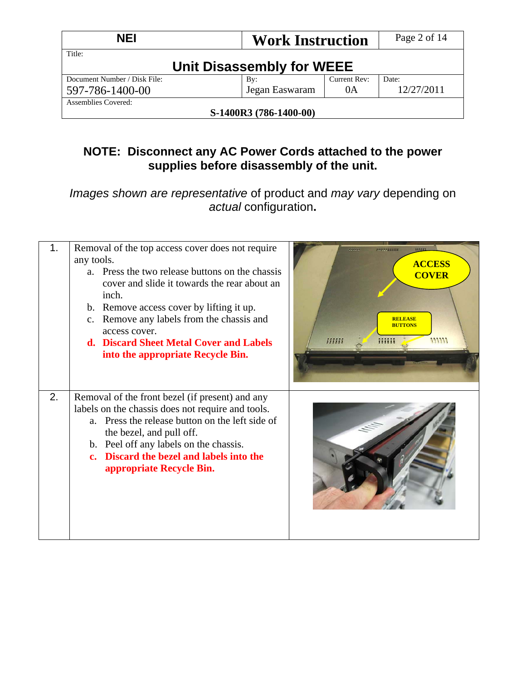| <b>NEI</b>                   | Page 2 of 14              |              |            |
|------------------------------|---------------------------|--------------|------------|
| Title:                       | Unit Disassembly for WEEE |              |            |
| Document Number / Disk File: | By:                       | Current Rev: | Date:      |
| 597-786-1400-00              | Jegan Easwaram            | 0A           | 12/27/2011 |
| Assemblies Covered:          |                           |              |            |
|                              | S-1400R3 (786-1400-00)    |              |            |

# **NOTE: Disconnect any AC Power Cords attached to the power supplies before disassembly of the unit.**

*Images shown are representative* of product and *may vary* depending on *actual* configuration**.** 

| 1. | Removal of the top access cover does not require<br>any tools.<br>a. Press the two release buttons on the chassis<br>cover and slide it towards the rear about an<br>inch.<br>b. Remove access cover by lifting it up.<br>c. Remove any labels from the chassis and<br>access cover.<br>d. Discard Sheet Metal Cover and Labels<br>into the appropriate Recycle Bin. | ,,,,,,,,,,,<br>123232<br>m<br><b>ACCESS</b><br><b>COVER</b><br><b>RELEASE</b><br><b>BUTTONS</b><br>mm<br>33333<br>111111 |
|----|----------------------------------------------------------------------------------------------------------------------------------------------------------------------------------------------------------------------------------------------------------------------------------------------------------------------------------------------------------------------|--------------------------------------------------------------------------------------------------------------------------|
| 2. | Removal of the front bezel (if present) and any<br>labels on the chassis does not require and tools.<br>a. Press the release button on the left side of<br>the bezel, and pull off.<br>b. Peel off any labels on the chassis.<br>c. Discard the bezel and labels into the<br>appropriate Recycle Bin.                                                                |                                                                                                                          |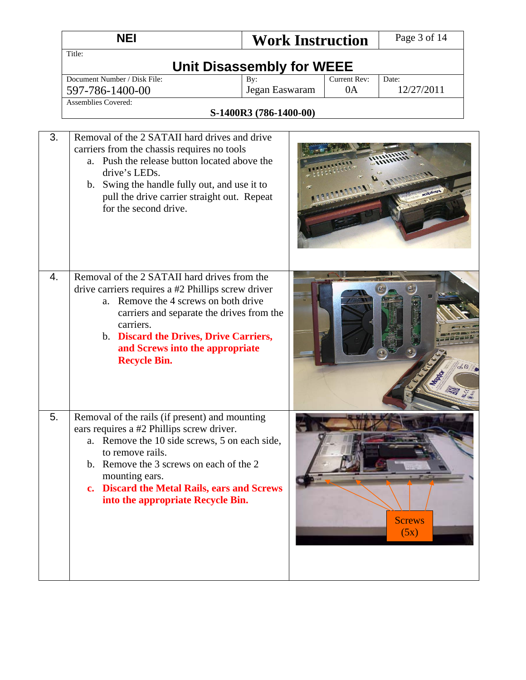|    | <b>NEI</b>                                                                                                                                                                                                                                                                                                        | <b>Work Instruction</b>          |                    | Page 3 of 14          |
|----|-------------------------------------------------------------------------------------------------------------------------------------------------------------------------------------------------------------------------------------------------------------------------------------------------------------------|----------------------------------|--------------------|-----------------------|
|    | Title:                                                                                                                                                                                                                                                                                                            | <b>Unit Disassembly for WEEE</b> |                    |                       |
|    | Document Number / Disk File:<br>597-786-1400-00                                                                                                                                                                                                                                                                   | By:<br>Jegan Easwaram            | Current Rev:<br>0A | Date:<br>12/27/2011   |
|    | <b>Assemblies Covered:</b>                                                                                                                                                                                                                                                                                        | S-1400R3 (786-1400-00)           |                    |                       |
|    |                                                                                                                                                                                                                                                                                                                   |                                  |                    |                       |
| 3. | Removal of the 2 SATAII hard drives and drive<br>carriers from the chassis requires no tools<br>a. Push the release button located above the<br>drive's LEDs.<br>b. Swing the handle fully out, and use it to<br>pull the drive carrier straight out. Repeat<br>for the second drive.                             |                                  |                    |                       |
| 4. | Removal of the 2 SATAII hard drives from the<br>drive carriers requires a #2 Phillips screw driver<br>a. Remove the 4 screws on both drive<br>carriers and separate the drives from the<br>carriers.<br>b. Discard the Drives, Drive Carriers,<br>and Screws into the appropriate<br><b>Recycle Bin.</b>          |                                  |                    | 60                    |
| 5. | Removal of the rails (if present) and mounting<br>ears requires a #2 Phillips screw driver.<br>a. Remove the 10 side screws, 5 on each side,<br>to remove rails.<br>b. Remove the 3 screws on each of the 2<br>mounting ears.<br>c. Discard the Metal Rails, ears and Screws<br>into the appropriate Recycle Bin. |                                  |                    | <b>Screws</b><br>(5x) |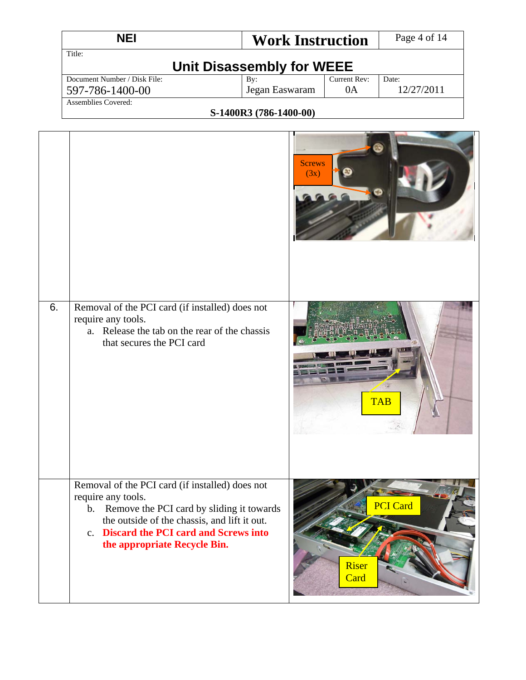| NEI                          | <b>Work Instruction</b> |              | Page 4 of 14 |  |  |  |
|------------------------------|-------------------------|--------------|--------------|--|--|--|
| Title:                       |                         |              |              |  |  |  |
| Unit Disassembly for WEEE    |                         |              |              |  |  |  |
| Document Number / Disk File: | Bv:                     | Current Rev: | Date:        |  |  |  |
| 597-786-1400-00              | Jegan Easwaram          | 0A           | 12/27/2011   |  |  |  |
| Assemblies Covered:          |                         |              |              |  |  |  |

|    |                                                                                                                                                                                                                                                  | Screws<br>(3x)                   |
|----|--------------------------------------------------------------------------------------------------------------------------------------------------------------------------------------------------------------------------------------------------|----------------------------------|
| 6. | Removal of the PCI card (if installed) does not<br>require any tools.<br>a. Release the tab on the rear of the chassis<br>that secures the PCI card                                                                                              | <b>TAB</b>                       |
|    | Removal of the PCI card (if installed) does not<br>require any tools.<br>b. Remove the PCI card by sliding it towards<br>the outside of the chassis, and lift it out.<br>c. Discard the PCI card and Screws into<br>the appropriate Recycle Bin. | <b>PCI</b> Card<br>Riser<br>Card |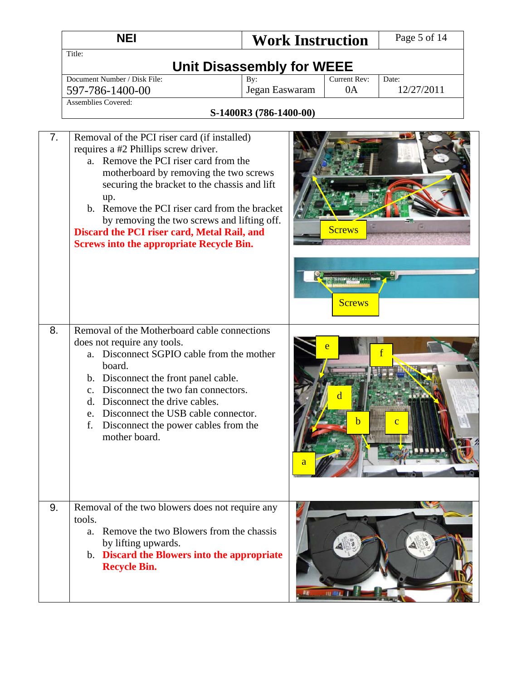|    | <b>NEI</b>                                                                                                                                                                                                                                                                                                                                                                                                                       | <b>Work Instruction</b>          |                    | Page 5 of 14        |
|----|----------------------------------------------------------------------------------------------------------------------------------------------------------------------------------------------------------------------------------------------------------------------------------------------------------------------------------------------------------------------------------------------------------------------------------|----------------------------------|--------------------|---------------------|
|    | Title:                                                                                                                                                                                                                                                                                                                                                                                                                           | <b>Unit Disassembly for WEEE</b> |                    |                     |
|    | Document Number / Disk File:<br>597-786-1400-00                                                                                                                                                                                                                                                                                                                                                                                  | By:<br>Jegan Easwaram            | Current Rev:<br>0A | Date:<br>12/27/2011 |
|    | <b>Assemblies Covered:</b>                                                                                                                                                                                                                                                                                                                                                                                                       | S-1400R3 (786-1400-00)           |                    |                     |
| 7. | Removal of the PCI riser card (if installed)<br>requires a #2 Phillips screw driver.<br>a. Remove the PCI riser card from the<br>motherboard by removing the two screws<br>securing the bracket to the chassis and lift<br>up.<br>b. Remove the PCI riser card from the bracket<br>by removing the two screws and lifting off.<br>Discard the PCI riser card, Metal Rail, and<br><b>Screws into the appropriate Recycle Bin.</b> |                                  | <b>Screws</b>      |                     |
| 8. | Removal of the Motherboard cable connections<br>does not require any tools.<br>Disconnect SGPIO cable from the mother<br>a.<br>board.<br>b. Disconnect the front panel cable.<br>Disconnect the two fan connectors.<br>$\mathbf{c}$ .<br>Disconnect the drive cables.<br>d.<br>Disconnect the USB cable connector.<br>e.<br>Disconnect the power cables from the<br>f.<br>mother board.                                          |                                  | <b>Screws</b>      |                     |
| 9. | Removal of the two blowers does not require any<br>tools.<br>Remove the two Blowers from the chassis<br>a.<br>by lifting upwards.<br>b. Discard the Blowers into the appropriate<br><b>Recycle Bin.</b>                                                                                                                                                                                                                          |                                  | <b>ILL MALL</b>    |                     |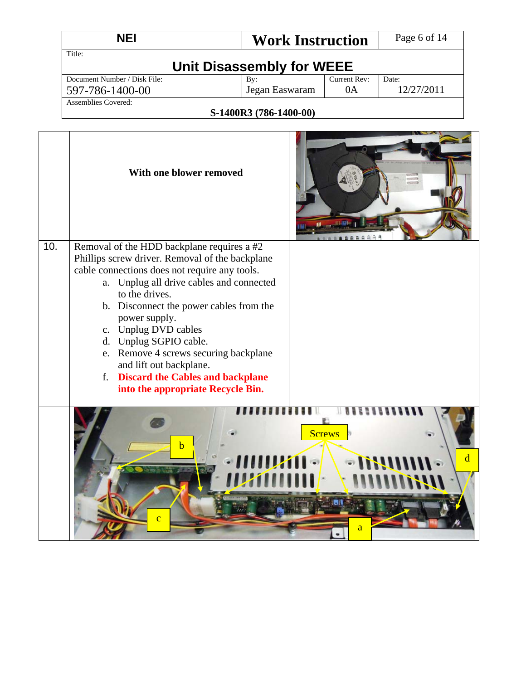|     | <b>NEI</b>                                                                                                                                                                                                                                                                                                                                                                                                                                                                           | <b>Work Instruction</b> |                    | Page 6 of 14        |  |  |
|-----|--------------------------------------------------------------------------------------------------------------------------------------------------------------------------------------------------------------------------------------------------------------------------------------------------------------------------------------------------------------------------------------------------------------------------------------------------------------------------------------|-------------------------|--------------------|---------------------|--|--|
|     | Title:                                                                                                                                                                                                                                                                                                                                                                                                                                                                               |                         |                    |                     |  |  |
|     | <b>Unit Disassembly for WEEE</b>                                                                                                                                                                                                                                                                                                                                                                                                                                                     |                         |                    |                     |  |  |
|     | Document Number / Disk File:<br>597-786-1400-00                                                                                                                                                                                                                                                                                                                                                                                                                                      | By:<br>Jegan Easwaram   | Current Rev:<br>0A | Date:<br>12/27/2011 |  |  |
|     | <b>Assemblies Covered:</b>                                                                                                                                                                                                                                                                                                                                                                                                                                                           |                         |                    |                     |  |  |
|     |                                                                                                                                                                                                                                                                                                                                                                                                                                                                                      | S-1400R3 (786-1400-00)  |                    |                     |  |  |
|     | With one blower removed                                                                                                                                                                                                                                                                                                                                                                                                                                                              |                         | 0.0000000          |                     |  |  |
| 10. | Removal of the HDD backplane requires a #2<br>Phillips screw driver. Removal of the backplane<br>cable connections does not require any tools.<br>a. Unplug all drive cables and connected<br>to the drives.<br>b. Disconnect the power cables from the<br>power supply.<br>c. Unplug DVD cables<br>d. Unplug SGPIO cable.<br>e. Remove 4 screws securing backplane<br>and lift out backplane.<br><b>Discard the Cables and backplane</b><br>f.<br>into the appropriate Recycle Bin. |                         |                    |                     |  |  |
|     | $\mathbf b$<br>اٹ<br>$\overline{c}$                                                                                                                                                                                                                                                                                                                                                                                                                                                  | • 11111141              | <b>Screws</b><br>a | d                   |  |  |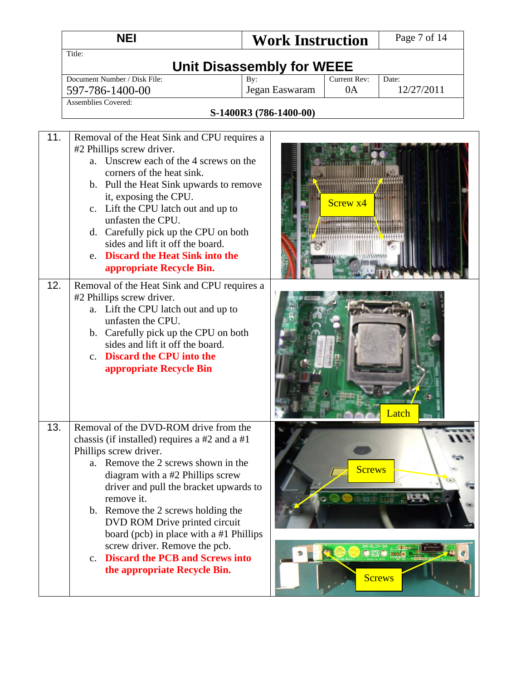|            | <b>NEI</b>                                                                                                                                                                                                                                                                                                                                                                                                                                                                                                                                                                                                                                                                                                 | <b>Work Instruction</b>                                               |               | Page 7 of 14                        |
|------------|------------------------------------------------------------------------------------------------------------------------------------------------------------------------------------------------------------------------------------------------------------------------------------------------------------------------------------------------------------------------------------------------------------------------------------------------------------------------------------------------------------------------------------------------------------------------------------------------------------------------------------------------------------------------------------------------------------|-----------------------------------------------------------------------|---------------|-------------------------------------|
|            | Title:                                                                                                                                                                                                                                                                                                                                                                                                                                                                                                                                                                                                                                                                                                     | <b>Unit Disassembly for WEEE</b>                                      |               |                                     |
|            | Document Number / Disk File:<br>597-786-1400-00<br><b>Assemblies Covered:</b>                                                                                                                                                                                                                                                                                                                                                                                                                                                                                                                                                                                                                              | Current Rev:<br>By:<br>Jegan Easwaram<br>0A<br>S-1400R3 (786-1400-00) |               | Date:<br>12/27/2011                 |
| 11.<br>12. | Removal of the Heat Sink and CPU requires a<br>#2 Phillips screw driver.<br>a. Unscrew each of the 4 screws on the<br>corners of the heat sink.<br>b. Pull the Heat Sink upwards to remove<br>it, exposing the CPU.<br>c. Lift the CPU latch out and up to<br>unfasten the CPU.<br>d. Carefully pick up the CPU on both<br>sides and lift it off the board.<br>e. Discard the Heat Sink into the<br>appropriate Recycle Bin.<br>Removal of the Heat Sink and CPU requires a<br>#2 Phillips screw driver.<br>a. Lift the CPU latch out and up to<br>unfasten the CPU.<br>b. Carefully pick up the CPU on both<br>sides and lift it off the board.<br>c. Discard the CPU into the<br>appropriate Recycle Bin | Screw <sub>x4</sub>                                                   |               | Latch                               |
| 13.        | Removal of the DVD-ROM drive from the<br>chassis (if installed) requires a $#2$ and a $#1$<br>Phillips screw driver.<br>a. Remove the 2 screws shown in the<br>diagram with a #2 Phillips screw<br>driver and pull the bracket upwards to<br>remove it.<br>b. Remove the 2 screws holding the<br>DVD ROM Drive printed circuit<br>board (pcb) in place with a #1 Phillips<br>screw driver. Remove the pcb.<br>c. Discard the PCB and Screws into<br>the appropriate Recycle Bin.                                                                                                                                                                                                                           |                                                                       | <b>Screws</b> | O MAO <b>Beste</b><br><b>Screws</b> |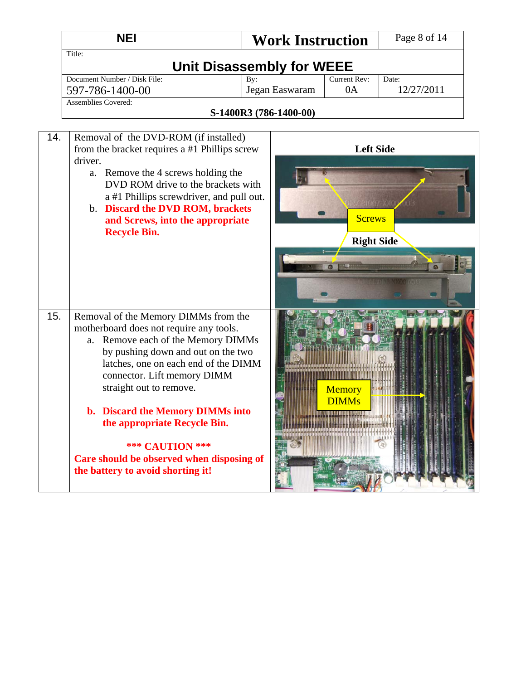|     | <b>NEI</b><br><b>Work Instruction</b>                                                                                                                                                                                                                            |                        | Page 8 of 14  |                                    |            |  |  |
|-----|------------------------------------------------------------------------------------------------------------------------------------------------------------------------------------------------------------------------------------------------------------------|------------------------|---------------|------------------------------------|------------|--|--|
|     | Title:                                                                                                                                                                                                                                                           |                        |               |                                    |            |  |  |
|     | <b>Unit Disassembly for WEEE</b>                                                                                                                                                                                                                                 |                        |               |                                    |            |  |  |
|     | Document Number / Disk File:                                                                                                                                                                                                                                     | By:                    |               | Current Rev:                       | Date:      |  |  |
|     | 597-786-1400-00                                                                                                                                                                                                                                                  | Jegan Easwaram         |               | 0A                                 | 12/27/2011 |  |  |
|     | <b>Assemblies Covered:</b>                                                                                                                                                                                                                                       |                        |               |                                    |            |  |  |
|     |                                                                                                                                                                                                                                                                  | S-1400R3 (786-1400-00) |               |                                    |            |  |  |
| 14. | Removal of the DVD-ROM (if installed)<br>from the bracket requires a #1 Phillips screw<br>driver.<br>a. Remove the 4 screws holding the                                                                                                                          |                        |               | <b>Left Side</b>                   |            |  |  |
|     | DVD ROM drive to the brackets with<br>a #1 Phillips screwdriver, and pull out.<br>b. Discard the DVD ROM, brackets<br>and Screws, into the appropriate<br><b>Recycle Bin.</b>                                                                                    |                        |               | <b>Screws</b><br><b>Right Side</b> |            |  |  |
|     |                                                                                                                                                                                                                                                                  |                        |               |                                    |            |  |  |
| 15. | Removal of the Memory DIMMs from the<br>motherboard does not require any tools.<br>Remove each of the Memory DIMMs<br>a.<br>by pushing down and out on the two<br>latches, one on each end of the DIMM<br>connector. Lift memory DIMM<br>straight out to remove. |                        |               | Memory<br><b>DIMMs</b>             |            |  |  |
|     | b. Discard the Memory DIMMs into<br>the appropriate Recycle Bin.<br><b>*** CAUTION ***</b><br>Care should be observed when disposing of<br>the battery to avoid shorting it!                                                                                     |                        | <b>THE OF</b> | <u>HILLIN TILLINGIN</u>            |            |  |  |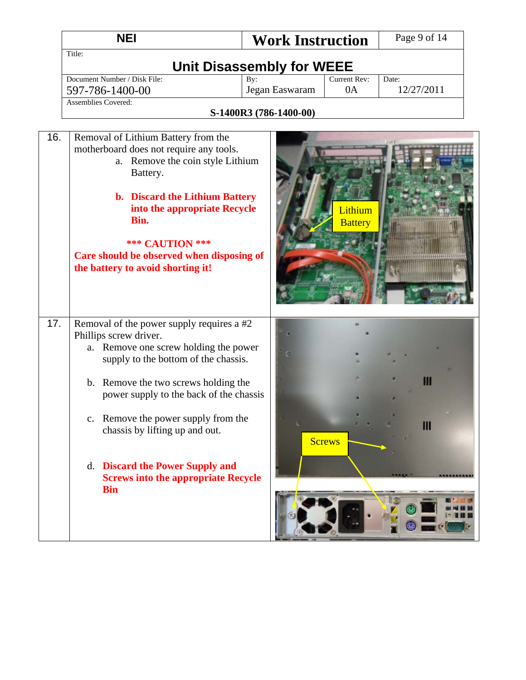|     | <b>NEI</b>                                                                                                                                                                                                                                                                                                                                                                                                                | <b>Work Instruction</b>                                   |                           | Page 9 of 14        |  |
|-----|---------------------------------------------------------------------------------------------------------------------------------------------------------------------------------------------------------------------------------------------------------------------------------------------------------------------------------------------------------------------------------------------------------------------------|-----------------------------------------------------------|---------------------------|---------------------|--|
|     | Title:                                                                                                                                                                                                                                                                                                                                                                                                                    |                                                           |                           |                     |  |
|     | Document Number / Disk File:<br>597-786-1400-00                                                                                                                                                                                                                                                                                                                                                                           | <b>Unit Disassembly for WEEE</b><br>By:<br>Jegan Easwaram | <b>Current Rev:</b><br>0A | Date:<br>12/27/2011 |  |
|     | <b>Assemblies Covered:</b>                                                                                                                                                                                                                                                                                                                                                                                                | S-1400R3 (786-1400-00)                                    |                           |                     |  |
| 16. | Removal of Lithium Battery from the<br>motherboard does not require any tools.<br>a. Remove the coin style Lithium<br>Battery.<br>b. Discard the Lithium Battery<br>into the appropriate Recycle<br>Bin.<br><b>*** CAUTION ***</b><br>Care should be observed when disposing of<br>the battery to avoid shorting it!                                                                                                      |                                                           | Lithium<br><b>Battery</b> |                     |  |
| 17. | Removal of the power supply requires a #2<br>Phillips screw driver.<br>a. Remove one screw holding the power<br>supply to the bottom of the chassis.<br>b. Remove the two screws holding the<br>power supply to the back of the chassis<br>c. Remove the power supply from the<br>chassis by lifting up and out.<br><b>Discard the Power Supply and</b><br>d.<br><b>Screws into the appropriate Recycle</b><br><b>Bin</b> |                                                           | <b>Screws</b>             | Ш<br>Ш              |  |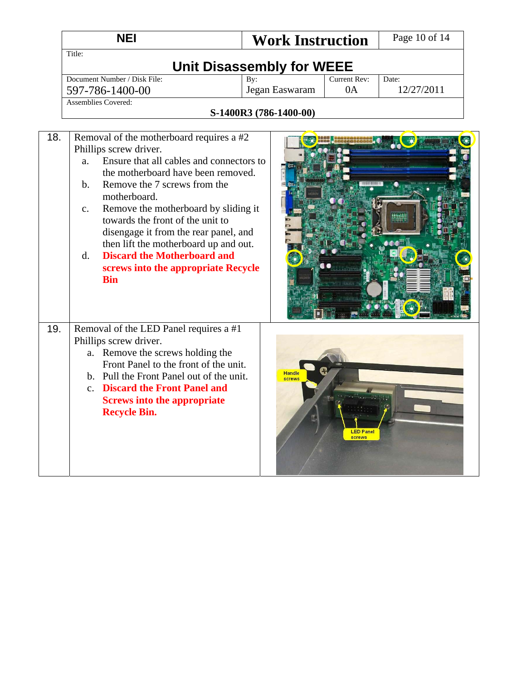|     | <b>NEI</b><br><b>Work Instruction</b>                                                                                                                                                                                                                                                                                                                                                                                                                                                                     |                         | Page 10 of 14                    |                     |  |
|-----|-----------------------------------------------------------------------------------------------------------------------------------------------------------------------------------------------------------------------------------------------------------------------------------------------------------------------------------------------------------------------------------------------------------------------------------------------------------------------------------------------------------|-------------------------|----------------------------------|---------------------|--|
|     | Title:<br><b>Unit Disassembly for WEEE</b>                                                                                                                                                                                                                                                                                                                                                                                                                                                                |                         |                                  |                     |  |
|     | Document Number / Disk File:<br>597-786-1400-00                                                                                                                                                                                                                                                                                                                                                                                                                                                           | By:<br>Jegan Easwaram   | Current Rev:<br>0A               | Date:<br>12/27/2011 |  |
|     | <b>Assemblies Covered:</b><br>S-1400R3 (786-1400-00)                                                                                                                                                                                                                                                                                                                                                                                                                                                      |                         |                                  |                     |  |
| 18. | Removal of the motherboard requires a #2<br>Phillips screw driver.<br>Ensure that all cables and connectors to<br>a.<br>the motherboard have been removed.<br>Remove the 7 screws from the<br>b.<br>motherboard.<br>Remove the motherboard by sliding it<br>$C_{\bullet}$<br>towards the front of the unit to<br>disengage it from the rear panel, and<br>then lift the motherboard up and out.<br><b>Discard the Motherboard and</b><br>$d_{\cdot}$<br>screws into the appropriate Recycle<br><b>Bin</b> |                         |                                  |                     |  |
| 19. | Removal of the LED Panel requires a #1<br>Phillips screw driver.<br>a. Remove the screws holding the<br>Front Panel to the front of the unit.<br>b. Pull the Front Panel out of the unit.<br>c. Discard the Front Panel and<br><b>Screws into the appropriate</b><br><b>Recycle Bin.</b>                                                                                                                                                                                                                  | <b>Handle</b><br>screws | <b>IFD</b> Pane<br><b>SCTAWS</b> |                     |  |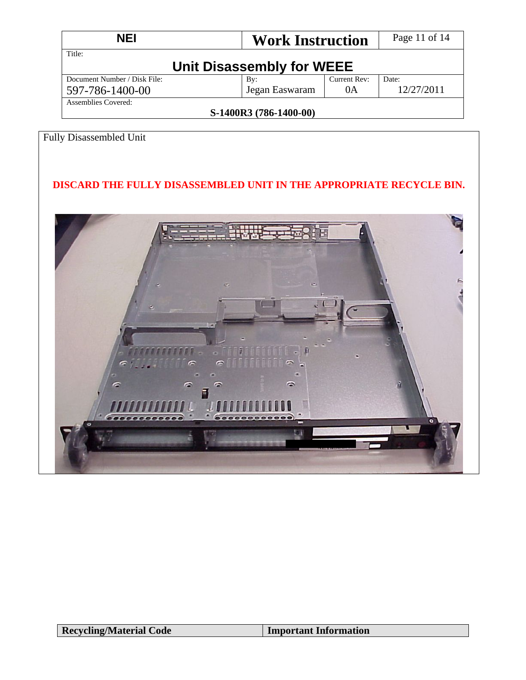| NEI                                   | <b>Work Instruction</b> |              | Page 11 of 14 |  |
|---------------------------------------|-------------------------|--------------|---------------|--|
| Title:                                |                         |              |               |  |
| Unit Disassembly for WEEE             |                         |              |               |  |
| Document Number / Disk File:          | $\mathbf{B}v$ :         | Current Rev: | Date:         |  |
| 597-786-1400-00                       | Jegan Easwaram          | 0A           | 12/27/2011    |  |
| Assemblies Covered:                   |                         |              |               |  |
| $C_{1}$ 1.400 $D_{2}$ (FQC 1.400, 00) |                         |              |               |  |

## Fully Disassembled Unit

### **DISCARD THE FULLY DISASSEMBLED UNIT IN THE APPROPRIATE RECYCLE BIN.**

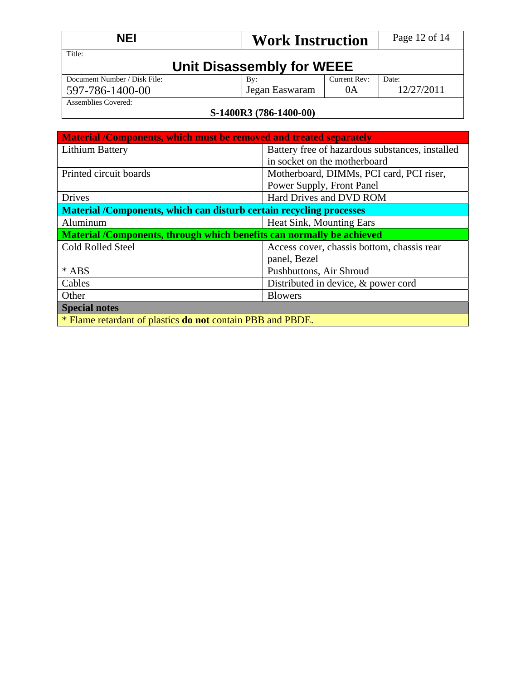| <b>NEI</b>                          |                | <b>Work Instruction</b> |            |  |  |
|-------------------------------------|----------------|-------------------------|------------|--|--|
| Title:<br>Unit Disassembly for WEEE |                |                         |            |  |  |
| Document Number / Disk File:        | Bv:            | Current Rev:            | Date:      |  |  |
| 597-786-1400-00                     | Jegan Easwaram | 0A                      | 12/27/2011 |  |  |
| Assemblies Covered:                 |                |                         |            |  |  |
| S-1400R3 (786-1400-00)              |                |                         |            |  |  |

| Material /Components, which must be removed and treated separately    |                                                 |  |  |
|-----------------------------------------------------------------------|-------------------------------------------------|--|--|
| Lithium Battery                                                       | Battery free of hazardous substances, installed |  |  |
|                                                                       | in socket on the motherboard                    |  |  |
| Printed circuit boards                                                | Motherboard, DIMMs, PCI card, PCI riser,        |  |  |
|                                                                       | Power Supply, Front Panel                       |  |  |
| <b>Drives</b>                                                         | Hard Drives and DVD ROM                         |  |  |
| Material /Components, which can disturb certain recycling processes   |                                                 |  |  |
| Heat Sink, Mounting Ears<br>Aluminum                                  |                                                 |  |  |
| Material /Components, through which benefits can normally be achieved |                                                 |  |  |
| <b>Cold Rolled Steel</b>                                              | Access cover, chassis bottom, chassis rear      |  |  |
|                                                                       | panel, Bezel                                    |  |  |
| $*$ ABS                                                               | Pushbuttons, Air Shroud                         |  |  |
| Cables                                                                | Distributed in device, & power cord             |  |  |
| Other                                                                 | <b>Blowers</b>                                  |  |  |
| <b>Special notes</b>                                                  |                                                 |  |  |
| * Flame retardant of plastics <b>do not</b> contain PBB and PBDE.     |                                                 |  |  |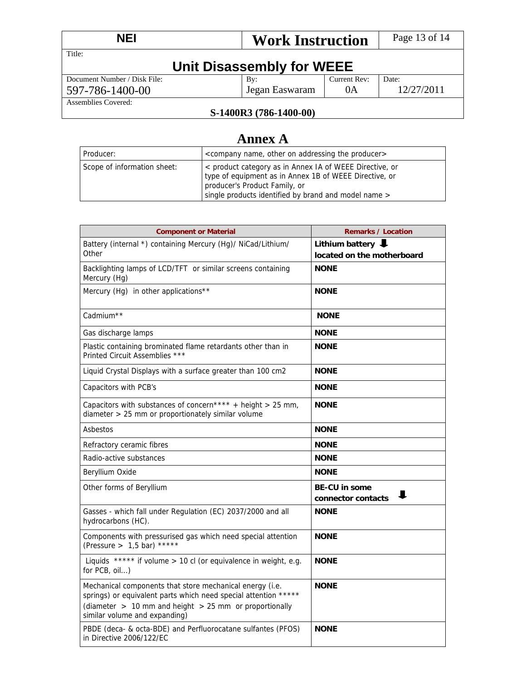| NEI                                 | <b>Work Instruction</b>                     |              | Page 13 of 14 |  |
|-------------------------------------|---------------------------------------------|--------------|---------------|--|
| Title:<br>Unit Disassembly for WEEE |                                             |              |               |  |
| Document Number / Disk File:        | $\mathbf{B}v$ :                             | Current Rev: | Date:         |  |
| 597-786-1400-00                     | Jegan Easwaram                              | 0A           | 12/27/2011    |  |
| Assemblies Covered:                 | $C = 1 A \cap D \cap C = 1 A \cap D \cap D$ |              |               |  |

# **Annex A**

| l Producer:                 | <company addressing="" name,="" on="" other="" producer="" the=""></company>                                                                                                                               |
|-----------------------------|------------------------------------------------------------------------------------------------------------------------------------------------------------------------------------------------------------|
| Scope of information sheet: | < product category as in Annex IA of WEEE Directive, or<br>type of equipment as in Annex 1B of WEEE Directive, or<br>producer's Product Family, or<br>single products identified by brand and model name > |

| <b>Component or Material</b>                                                                                                                                                                                               | <b>Remarks / Location</b>                       |
|----------------------------------------------------------------------------------------------------------------------------------------------------------------------------------------------------------------------------|-------------------------------------------------|
| Battery (internal *) containing Mercury (Hg)/ NiCad/Lithium/                                                                                                                                                               | Lithium battery $\big\downarrow$                |
| Other                                                                                                                                                                                                                      | located on the motherboard                      |
| Backlighting lamps of LCD/TFT or similar screens containing<br>Mercury (Hg)                                                                                                                                                | <b>NONE</b>                                     |
| Mercury (Hg) in other applications**                                                                                                                                                                                       | <b>NONE</b>                                     |
| Cadmium <sup>**</sup>                                                                                                                                                                                                      | <b>NONE</b>                                     |
| Gas discharge lamps                                                                                                                                                                                                        | <b>NONE</b>                                     |
| Plastic containing brominated flame retardants other than in<br>Printed Circuit Assemblies ***                                                                                                                             | <b>NONE</b>                                     |
| Liquid Crystal Displays with a surface greater than 100 cm2                                                                                                                                                                | <b>NONE</b>                                     |
| Capacitors with PCB's                                                                                                                                                                                                      | <b>NONE</b>                                     |
| Capacitors with substances of concern**** + height > 25 mm,<br>diameter > 25 mm or proportionately similar volume                                                                                                          | <b>NONE</b>                                     |
| Asbestos                                                                                                                                                                                                                   | <b>NONE</b>                                     |
| Refractory ceramic fibres                                                                                                                                                                                                  | <b>NONE</b>                                     |
| Radio-active substances                                                                                                                                                                                                    | <b>NONE</b>                                     |
| Beryllium Oxide                                                                                                                                                                                                            | <b>NONE</b>                                     |
| Other forms of Beryllium                                                                                                                                                                                                   | <b>BE-CU in some</b><br>ш<br>connector contacts |
| Gasses - which fall under Regulation (EC) 2037/2000 and all<br>hydrocarbons (HC).                                                                                                                                          | <b>NONE</b>                                     |
| Components with pressurised gas which need special attention<br>(Pressure > $1,5$ bar) *****                                                                                                                               | <b>NONE</b>                                     |
| Liquids ***** if volume > 10 cl (or equivalence in weight, e.g.<br>for PCB, oil)                                                                                                                                           | <b>NONE</b>                                     |
| Mechanical components that store mechanical energy (i.e.<br>springs) or equivalent parts which need special attention *****<br>(diameter $> 10$ mm and height $> 25$ mm or proportionally<br>similar volume and expanding) | <b>NONE</b>                                     |
| PBDE (deca- & octa-BDE) and Perfluorocatane sulfantes (PFOS)<br>in Directive 2006/122/EC                                                                                                                                   | <b>NONE</b>                                     |